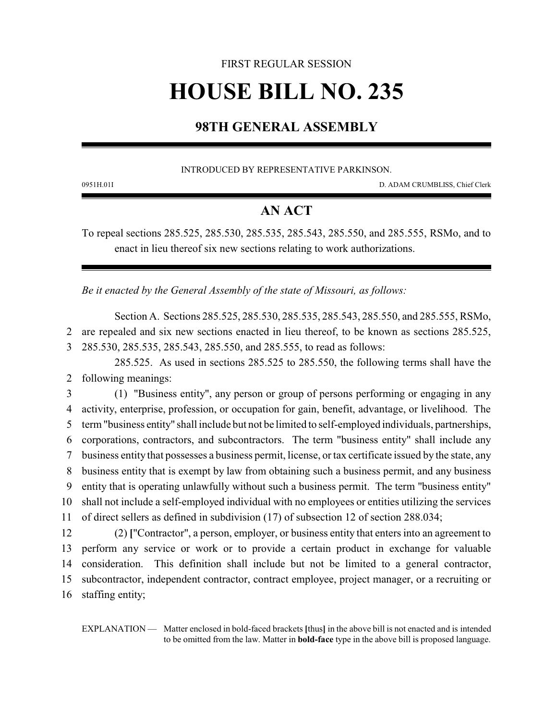## FIRST REGULAR SESSION **HOUSE BILL NO. 235**

## **98TH GENERAL ASSEMBLY**

INTRODUCED BY REPRESENTATIVE PARKINSON.

0951H.01I D. ADAM CRUMBLISS, Chief Clerk

## **AN ACT**

To repeal sections 285.525, 285.530, 285.535, 285.543, 285.550, and 285.555, RSMo, and to enact in lieu thereof six new sections relating to work authorizations.

*Be it enacted by the General Assembly of the state of Missouri, as follows:*

Section A. Sections 285.525, 285.530, 285.535, 285.543, 285.550, and 285.555, RSMo, 2 are repealed and six new sections enacted in lieu thereof, to be known as sections 285.525, 3 285.530, 285.535, 285.543, 285.550, and 285.555, to read as follows:

285.525. As used in sections 285.525 to 285.550, the following terms shall have the 2 following meanings:

 (1) "Business entity", any person or group of persons performing or engaging in any activity, enterprise, profession, or occupation for gain, benefit, advantage, or livelihood. The term "business entity" shall include but not be limited to self-employed individuals, partnerships, corporations, contractors, and subcontractors. The term "business entity" shall include any business entity that possesses a business permit, license, ortax certificate issued by the state, any business entity that is exempt by law from obtaining such a business permit, and any business entity that is operating unlawfully without such a business permit. The term "business entity" shall not include a self-employed individual with no employees or entities utilizing the services of direct sellers as defined in subdivision (17) of subsection 12 of section 288.034; (2) **[**"Contractor", a person, employer, or business entity that enters into an agreement to

 perform any service or work or to provide a certain product in exchange for valuable consideration. This definition shall include but not be limited to a general contractor, subcontractor, independent contractor, contract employee, project manager, or a recruiting or staffing entity;

EXPLANATION — Matter enclosed in bold-faced brackets **[**thus**]** in the above bill is not enacted and is intended to be omitted from the law. Matter in **bold-face** type in the above bill is proposed language.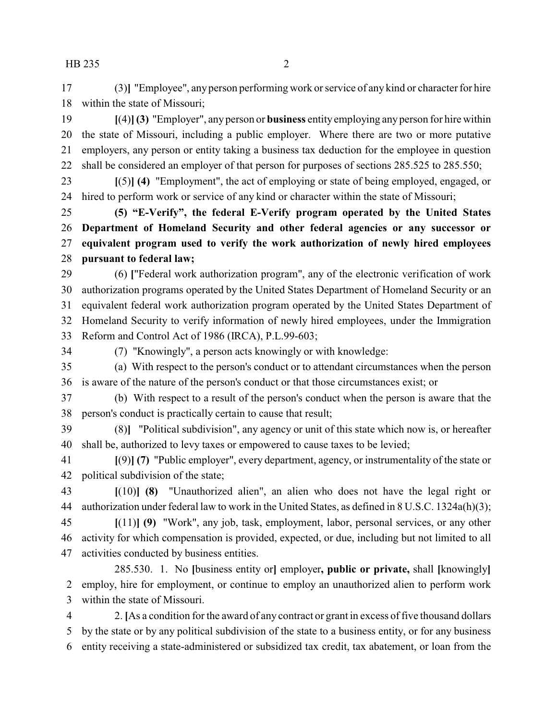HB 235 2

 (3)**]** "Employee", any person performing work orservice of any kind or character for hire within the state of Missouri;

 **[**(4)**](3)** "Employer", any person or **business** entity employing any person for hire within the state of Missouri, including a public employer. Where there are two or more putative employers, any person or entity taking a business tax deduction for the employee in question shall be considered an employer of that person for purposes of sections 285.525 to 285.550;

 **[**(5)**] (4)** "Employment", the act of employing or state of being employed, engaged, or hired to perform work or service of any kind or character within the state of Missouri;

 **(5) "E-Verify", the federal E-Verify program operated by the United States Department of Homeland Security and other federal agencies or any successor or equivalent program used to verify the work authorization of newly hired employees pursuant to federal law;**

 (6) **[**"Federal work authorization program", any of the electronic verification of work authorization programs operated by the United States Department of Homeland Security or an equivalent federal work authorization program operated by the United States Department of Homeland Security to verify information of newly hired employees, under the Immigration Reform and Control Act of 1986 (IRCA), P.L.99-603;

(7) "Knowingly", a person acts knowingly or with knowledge:

 (a) With respect to the person's conduct or to attendant circumstances when the person is aware of the nature of the person's conduct or that those circumstances exist; or

 (b) With respect to a result of the person's conduct when the person is aware that the person's conduct is practically certain to cause that result;

 (8)**]** "Political subdivision", any agency or unit of this state which now is, or hereafter shall be, authorized to levy taxes or empowered to cause taxes to be levied;

 **[**(9)**] (7)** "Public employer", every department, agency, or instrumentality of the state or political subdivision of the state;

 **[**(10)**] (8)** "Unauthorized alien", an alien who does not have the legal right or authorization under federal law to work in the United States, as defined in 8 U.S.C. 1324a(h)(3);

 **[**(11)**] (9)** "Work", any job, task, employment, labor, personal services, or any other activity for which compensation is provided, expected, or due, including but not limited to all activities conducted by business entities.

285.530. 1. No **[**business entity or**]** employer**, public or private,** shall **[**knowingly**]** employ, hire for employment, or continue to employ an unauthorized alien to perform work within the state of Missouri.

 2. **[**As a condition for the award of any contract or grant in excess of five thousand dollars by the state or by any political subdivision of the state to a business entity, or for any business entity receiving a state-administered or subsidized tax credit, tax abatement, or loan from the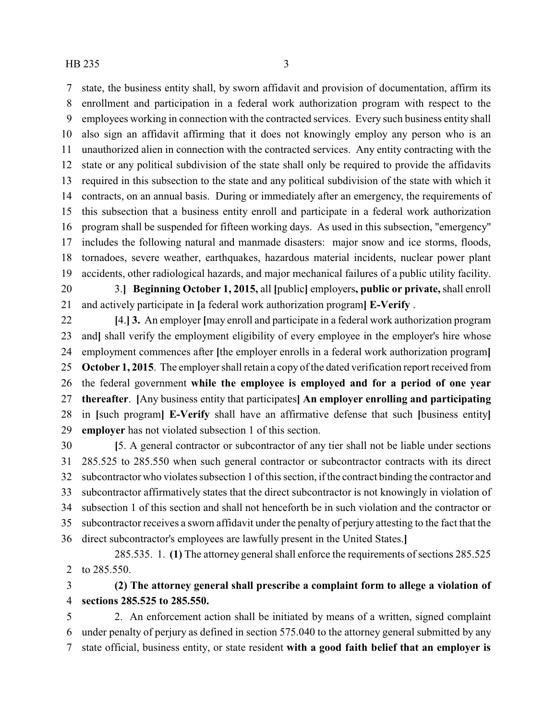state, the business entity shall, by sworn affidavit and provision of documentation, affirm its enrollment and participation in a federal work authorization program with respect to the employees working in connection with the contracted services. Every such business entity shall also sign an affidavit affirming that it does not knowingly employ any person who is an unauthorized alien in connection with the contracted services. Any entity contracting with the state or any political subdivision of the state shall only be required to provide the affidavits required in this subsection to the state and any political subdivision of the state with which it contracts, on an annual basis. During or immediately after an emergency, the requirements of this subsection that a business entity enroll and participate in a federal work authorization program shall be suspended for fifteen working days. As used in this subsection, "emergency" includes the following natural and manmade disasters: major snow and ice storms, floods, tornadoes, severe weather, earthquakes, hazardous material incidents, nuclear power plant accidents, other radiological hazards, and major mechanical failures of a public utility facility. 3.**] Beginning October 1, 2015,** all **[**public**]** employers**, public or private,**shall enroll

and actively participate in **[**a federal work authorization program**] E-Verify** .

 **[**4.**] 3.** An employer **[**may enroll and participate in a federal work authorization program and**]** shall verify the employment eligibility of every employee in the employer's hire whose employment commences after **[**the employer enrolls in a federal work authorization program**] October 1, 2015**. The employer shall retain a copy of the dated verification report received from the federal government **while the employee is employed and for a period of one year thereafter**. **[**Any business entity that participates**] An employer enrolling and participating** in **[**such program**] E-Verify** shall have an affirmative defense that such **[**business entity**] employer** has not violated subsection 1 of this section.

 **[**5. A general contractor or subcontractor of any tier shall not be liable under sections 285.525 to 285.550 when such general contractor or subcontractor contracts with its direct subcontractor who violates subsection 1 of this section, if the contract binding the contractor and subcontractor affirmatively states that the direct subcontractor is not knowingly in violation of subsection 1 of this section and shall not henceforth be in such violation and the contractor or subcontractor receives a sworn affidavit under the penalty of perjury attesting to the fact that the direct subcontractor's employees are lawfully present in the United States.**]**

285.535. 1. **(1)** The attorney general shall enforce the requirements of sections 285.525 to 285.550.

 **(2) The attorney general shall prescribe a complaint form to allege a violation of sections 285.525 to 285.550.**

 2. An enforcement action shall be initiated by means of a written, signed complaint under penalty of perjury as defined in section 575.040 to the attorney general submitted by any state official, business entity, or state resident **with a good faith belief that an employer is**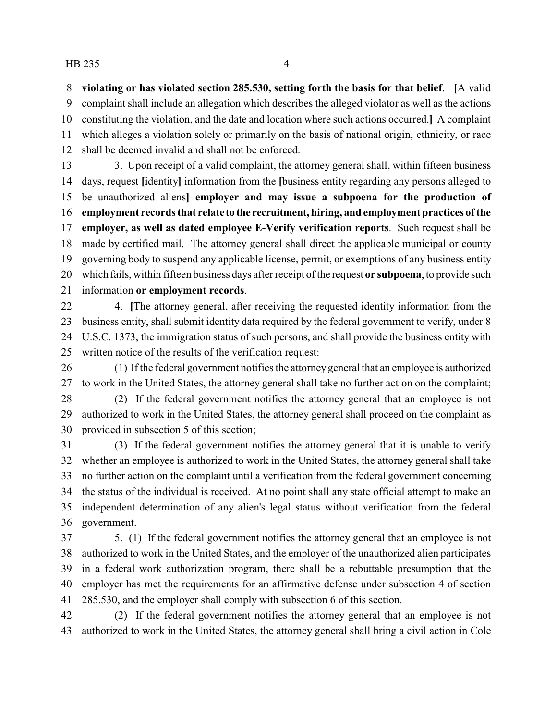**violating or has violated section 285.530, setting forth the basis for that belief**. **[**A valid complaint shall include an allegation which describes the alleged violator as well as the actions constituting the violation, and the date and location where such actions occurred.**]** A complaint which alleges a violation solely or primarily on the basis of national origin, ethnicity, or race shall be deemed invalid and shall not be enforced.

13 3. Upon receipt of a valid complaint, the attorney general shall, within fifteen business days, request **[**identity**]** information from the **[**business entity regarding any persons alleged to be unauthorized aliens**] employer and may issue a subpoena for the production of employment records that relate to the recruitment, hiring, and employment practices ofthe employer, as well as dated employee E-Verify verification reports**. Such request shall be made by certified mail. The attorney general shall direct the applicable municipal or county governing body to suspend any applicable license, permit, or exemptions of any business entity which fails, within fifteen business days after receipt of the request **or subpoena**, to provide such information **or employment records**.

 4. **[**The attorney general, after receiving the requested identity information from the business entity, shall submit identity data required by the federal government to verify, under 8 U.S.C. 1373, the immigration status of such persons, and shall provide the business entity with written notice of the results of the verification request:

 (1) If the federal government notifies the attorney general that an employee is authorized to work in the United States, the attorney general shall take no further action on the complaint;

 (2) If the federal government notifies the attorney general that an employee is not authorized to work in the United States, the attorney general shall proceed on the complaint as provided in subsection 5 of this section;

 (3) If the federal government notifies the attorney general that it is unable to verify whether an employee is authorized to work in the United States, the attorney general shall take no further action on the complaint until a verification from the federal government concerning the status of the individual is received. At no point shall any state official attempt to make an independent determination of any alien's legal status without verification from the federal government.

 5. (1) If the federal government notifies the attorney general that an employee is not authorized to work in the United States, and the employer of the unauthorized alien participates in a federal work authorization program, there shall be a rebuttable presumption that the employer has met the requirements for an affirmative defense under subsection 4 of section 285.530, and the employer shall comply with subsection 6 of this section.

 (2) If the federal government notifies the attorney general that an employee is not authorized to work in the United States, the attorney general shall bring a civil action in Cole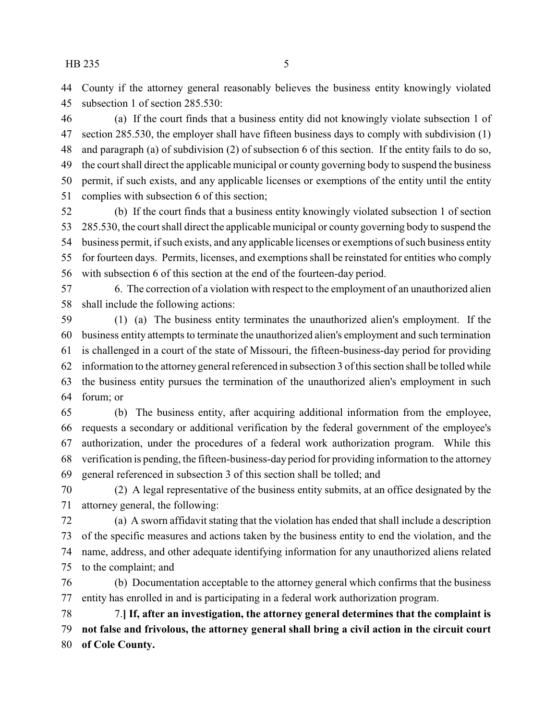County if the attorney general reasonably believes the business entity knowingly violated subsection 1 of section 285.530:

 (a) If the court finds that a business entity did not knowingly violate subsection 1 of section 285.530, the employer shall have fifteen business days to comply with subdivision (1) and paragraph (a) of subdivision (2) of subsection 6 of this section. If the entity fails to do so, the court shall direct the applicable municipal or county governing body to suspend the business permit, if such exists, and any applicable licenses or exemptions of the entity until the entity complies with subsection 6 of this section;

 (b) If the court finds that a business entity knowingly violated subsection 1 of section 285.530, the court shall direct the applicable municipal or county governing body to suspend the business permit, if such exists, and any applicable licenses or exemptions of such business entity for fourteen days. Permits, licenses, and exemptions shall be reinstated for entities who comply with subsection 6 of this section at the end of the fourteen-day period.

 6. The correction of a violation with respect to the employment of an unauthorized alien shall include the following actions:

 (1) (a) The business entity terminates the unauthorized alien's employment. If the business entity attempts to terminate the unauthorized alien's employment and such termination is challenged in a court of the state of Missouri, the fifteen-business-day period for providing information to the attorney general referenced in subsection 3 of this section shall be tolled while the business entity pursues the termination of the unauthorized alien's employment in such forum; or

 (b) The business entity, after acquiring additional information from the employee, requests a secondary or additional verification by the federal government of the employee's authorization, under the procedures of a federal work authorization program. While this verification is pending, the fifteen-business-dayperiod for providing information to the attorney general referenced in subsection 3 of this section shall be tolled; and

 (2) A legal representative of the business entity submits, at an office designated by the attorney general, the following:

 (a) A sworn affidavit stating that the violation has ended that shall include a description of the specific measures and actions taken by the business entity to end the violation, and the name, address, and other adequate identifying information for any unauthorized aliens related to the complaint; and

 (b) Documentation acceptable to the attorney general which confirms that the business entity has enrolled in and is participating in a federal work authorization program.

 7.**] If, after an investigation, the attorney general determines that the complaint is not false and frivolous, the attorney general shall bring a civil action in the circuit court of Cole County.**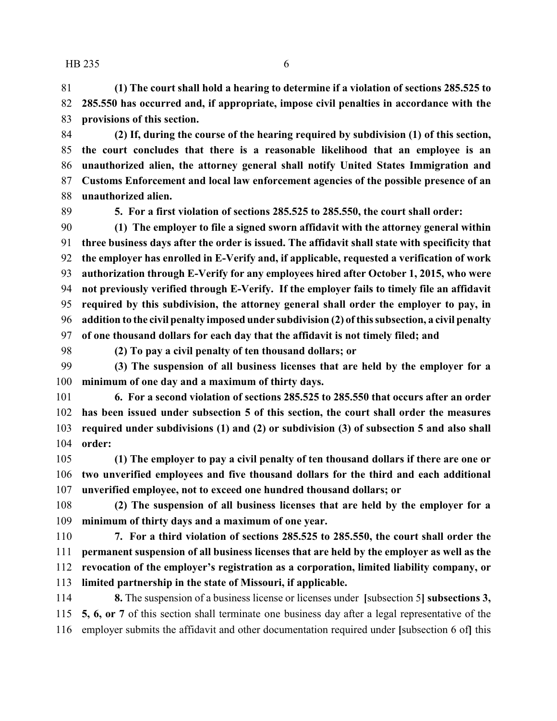$HB 235$  6

 **(1) The court shall hold a hearing to determine if a violation of sections 285.525 to 285.550 has occurred and, if appropriate, impose civil penalties in accordance with the provisions of this section.**

 **(2) If, during the course of the hearing required by subdivision (1) of this section, the court concludes that there is a reasonable likelihood that an employee is an unauthorized alien, the attorney general shall notify United States Immigration and Customs Enforcement and local law enforcement agencies of the possible presence of an unauthorized alien.**

**5. For a first violation of sections 285.525 to 285.550, the court shall order:**

 **(1) The employer to file a signed sworn affidavit with the attorney general within three business days after the order is issued. The affidavit shall state with specificity that the employer has enrolled in E-Verify and, if applicable, requested a verification of work authorization through E-Verify for any employees hired after October 1, 2015, who were not previously verified through E-Verify. If the employer fails to timely file an affidavit required by this subdivision, the attorney general shall order the employer to pay, in addition to the civil penalty imposed under subdivision (2) ofthis subsection, a civil penalty of one thousand dollars for each day that the affidavit is not timely filed; and**

**(2) To pay a civil penalty of ten thousand dollars; or**

 **(3) The suspension of all business licenses that are held by the employer for a minimum of one day and a maximum of thirty days.**

 **6. For a second violation of sections 285.525 to 285.550 that occurs after an order has been issued under subsection 5 of this section, the court shall order the measures required under subdivisions (1) and (2) or subdivision (3) of subsection 5 and also shall order:**

 **(1) The employer to pay a civil penalty of ten thousand dollars if there are one or two unverified employees and five thousand dollars for the third and each additional unverified employee, not to exceed one hundred thousand dollars; or**

 **(2) The suspension of all business licenses that are held by the employer for a minimum of thirty days and a maximum of one year.**

 **7. For a third violation of sections 285.525 to 285.550, the court shall order the permanent suspension of all business licenses that are held by the employer as well as the revocation of the employer's registration as a corporation, limited liability company, or limited partnership in the state of Missouri, if applicable.**

 **8.** The suspension of a business license or licenses under **[**subsection 5**] subsections 3, 5, 6, or 7** of this section shall terminate one business day after a legal representative of the employer submits the affidavit and other documentation required under **[**subsection 6 of**]** this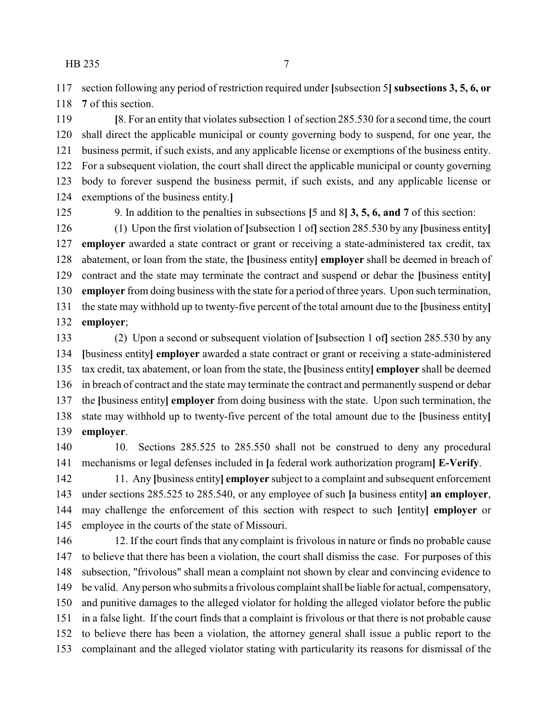section following any period of restriction required under **[**subsection 5**] subsections 3, 5, 6, or**

**7** of this section.

 **[**8. For an entity that violates subsection 1 of section 285.530 for a second time, the court shall direct the applicable municipal or county governing body to suspend, for one year, the business permit, if such exists, and any applicable license or exemptions of the business entity. For a subsequent violation, the court shall direct the applicable municipal or county governing body to forever suspend the business permit, if such exists, and any applicable license or exemptions of the business entity.**]**

9. In addition to the penalties in subsections **[**5 and 8**] 3, 5, 6, and 7** of this section:

 (1) Upon the first violation of **[**subsection 1 of**]**section 285.530 by any **[**business entity**] employer** awarded a state contract or grant or receiving a state-administered tax credit, tax abatement, or loan from the state, the **[**business entity**] employer** shall be deemed in breach of contract and the state may terminate the contract and suspend or debar the **[**business entity**] employer** from doing business with the state for a period of three years. Upon such termination, the state may withhold up to twenty-five percent of the total amount due to the **[**business entity**] employer**;

 (2) Upon a second or subsequent violation of **[**subsection 1 of**]** section 285.530 by any **[**business entity**] employer** awarded a state contract or grant or receiving a state-administered tax credit, tax abatement, or loan from the state, the **[**business entity**] employer** shall be deemed in breach of contract and the state may terminate the contract and permanently suspend or debar the **[**business entity**] employer** from doing business with the state. Upon such termination, the state may withhold up to twenty-five percent of the total amount due to the **[**business entity**] employer**.

 10. Sections 285.525 to 285.550 shall not be construed to deny any procedural mechanisms or legal defenses included in **[**a federal work authorization program**] E-Verify**.

 11. Any **[**business entity**] employer** subject to a complaint and subsequent enforcement under sections 285.525 to 285.540, or any employee of such **[**a business entity**] an employer**, may challenge the enforcement of this section with respect to such **[**entity**] employer** or employee in the courts of the state of Missouri.

 12. If the court finds that any complaint is frivolous in nature or finds no probable cause to believe that there has been a violation, the court shall dismiss the case. For purposes of this subsection, "frivolous" shall mean a complaint not shown by clear and convincing evidence to be valid. Any person who submits a frivolous complaint shall be liable for actual, compensatory, and punitive damages to the alleged violator for holding the alleged violator before the public in a false light. If the court finds that a complaint is frivolous or that there is not probable cause to believe there has been a violation, the attorney general shall issue a public report to the complainant and the alleged violator stating with particularity its reasons for dismissal of the